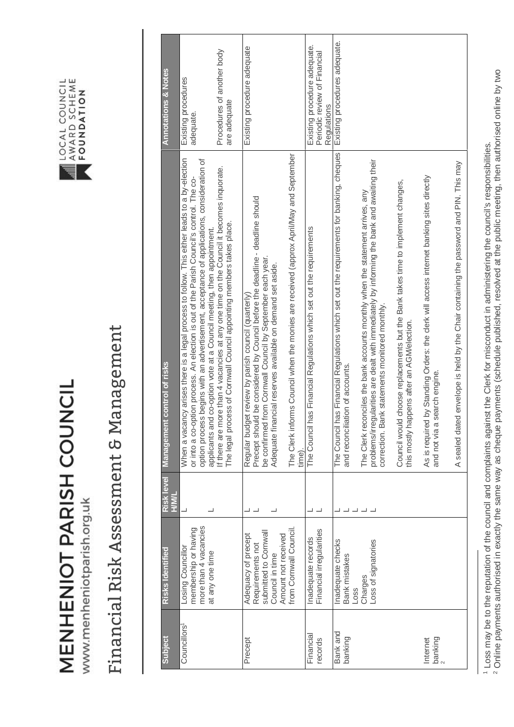MENHENIOT PARISH COUNCIL



## LOCAL COUNCIL<br>AWARD SCHEME<br>FOUNDATION

## Financial Risk Assessment & Management Financial Risk Assessment & Management

| <b>Annotations &amp; Notes</b>        | Procedures of another body<br>Existing procedures<br>are adequate<br>adequate.                                                                                                                                                                                                                                                                                                                                                                                                                                                        | Existing procedure adequate                                                                                                                                                                                                                                                                                                                                          | Existing procedure adequate.<br>Periodic review of Financial<br>Regulations | Existing procedures adequate.                                                                                                                                                                                                                                                                                                                                                                                                                                                                            |                                                                                                                                                                                                                          |
|---------------------------------------|---------------------------------------------------------------------------------------------------------------------------------------------------------------------------------------------------------------------------------------------------------------------------------------------------------------------------------------------------------------------------------------------------------------------------------------------------------------------------------------------------------------------------------------|----------------------------------------------------------------------------------------------------------------------------------------------------------------------------------------------------------------------------------------------------------------------------------------------------------------------------------------------------------------------|-----------------------------------------------------------------------------|----------------------------------------------------------------------------------------------------------------------------------------------------------------------------------------------------------------------------------------------------------------------------------------------------------------------------------------------------------------------------------------------------------------------------------------------------------------------------------------------------------|--------------------------------------------------------------------------------------------------------------------------------------------------------------------------------------------------------------------------|
| control of risks<br><b>Management</b> | When a vacancy arises there is a legal process to follow. This either leads to a by-election<br>begins with an advertisement, acceptance of applications, consideration of<br>If there are more than 4 vacancies at any one time on the Council it becomes inquorate.<br>or into a co-option process. An election is out of the Parish Council's control. The co-<br>The legal process of Cornwall Council appointing members takes place.<br>applicants and co-option vote at a Council meeting, then appointment.<br>option process | The Clerk informs Council when the monies are received (approx April/May and September<br>Precept should be considered by Council before the deadline - deadline should<br>be confirmed from Cornwall Council by September each year.<br>Adequate financial reserves available on demand set aside.<br>Regular budget review by parish council (quarterly)<br>time). | The Council has Financial Regulations which set out the requirements        | as Financial Regulations which set out the requirements for banking, cheques<br>problems/irregularities are dealt with immediately by informing the bank and awaiting their<br>choose replacements but the Bank takes time to implement changes,<br>The Clerk reconciles the bank accounts monthly when the statement arrives, any<br>correction. Bank statements monitored monthly.<br>this mostly happens after an AGM/election.<br>and reconciliation of accounts.<br>The Council ha<br>Council would | envelope is held by the Chair containing the password and PIN. This may<br>by Standing Orders: the clerk will access internet banking sites directly<br>and not via a search engine.<br>A sealed dated<br>As is required |
| Risk level<br><b>HWIH</b>             |                                                                                                                                                                                                                                                                                                                                                                                                                                                                                                                                       |                                                                                                                                                                                                                                                                                                                                                                      |                                                                             |                                                                                                                                                                                                                                                                                                                                                                                                                                                                                                          |                                                                                                                                                                                                                          |
| Risks Identified                      | more than 4 vacancies<br>membership or having<br>Losing Councillor<br>at any one time                                                                                                                                                                                                                                                                                                                                                                                                                                                 | from Cornwall Council<br>submitted to Cornwal<br>Adequacy of precept<br>Amount not received<br>Requirements not<br>Council in time                                                                                                                                                                                                                                   | Financial irregularities<br>Inadequate records                              | Inadequate checks<br>Loss of signatories<br>Bank mistakes<br>Charges<br>Loss                                                                                                                                                                                                                                                                                                                                                                                                                             |                                                                                                                                                                                                                          |
| Subject                               | Councillors <sup>1</sup>                                                                                                                                                                                                                                                                                                                                                                                                                                                                                                              | Precept                                                                                                                                                                                                                                                                                                                                                              | Financial<br>records                                                        | Bank and<br>banking                                                                                                                                                                                                                                                                                                                                                                                                                                                                                      | $\frac{b}{2}$ anking<br>Internet                                                                                                                                                                                         |

<sup>2</sup> Online payments authorised in exactly the same way as cheque payments (schedule published, resolved at the public meeting, then authorised online by two 2 Online payments authorised in exactly the same way as cheque payments (schedule published, resolved at the public meeting, then authorised online by two 1 Loss may be to the reputation of the council and complaints against the Clerk for misconduct in administering the council's responsibilities. <sup>1</sup> Loss may be to the reputation of the council and complaints against the Clerk for misconduct in administering the council's responsibilities.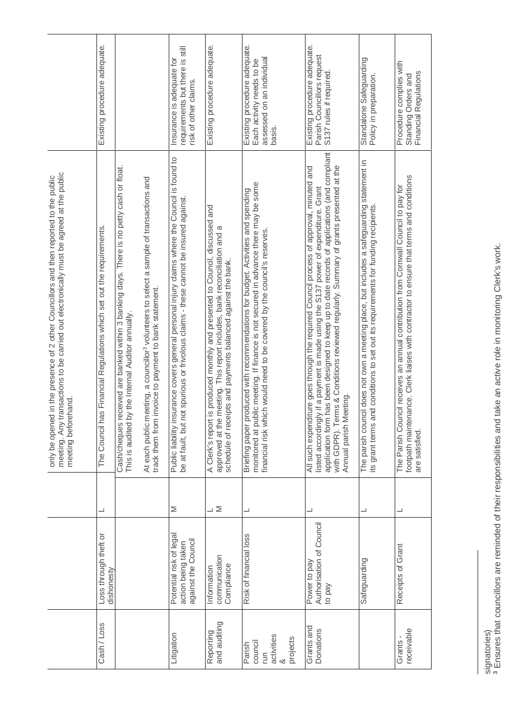|                                                                                                                                                                                                         | Existing procedure adequate.                                          |                                                                                                                                                                                                                                                                                                                    | requirements but there is still<br>Insurance is adequate for<br>risk of other claims.                                                                                                 | Existing procedure adequate.                                                                                                                                                                                             | Existing procedure adequate.<br>Each activity needs to be<br>assessed on an individual<br>basis.                                                                                                                                                       | Existing procedure adequate.<br>Parish Councillors request<br>S137 rules if required.                                                                                                                                                                                                                                                                                                            | Standalone Safeguarding<br>Policy in preparation.                                                                                                                                  | Procedure complies with<br>Financial Regulations<br>Standing Orders and                                                                                                                          |
|---------------------------------------------------------------------------------------------------------------------------------------------------------------------------------------------------------|-----------------------------------------------------------------------|--------------------------------------------------------------------------------------------------------------------------------------------------------------------------------------------------------------------------------------------------------------------------------------------------------------------|---------------------------------------------------------------------------------------------------------------------------------------------------------------------------------------|--------------------------------------------------------------------------------------------------------------------------------------------------------------------------------------------------------------------------|--------------------------------------------------------------------------------------------------------------------------------------------------------------------------------------------------------------------------------------------------------|--------------------------------------------------------------------------------------------------------------------------------------------------------------------------------------------------------------------------------------------------------------------------------------------------------------------------------------------------------------------------------------------------|------------------------------------------------------------------------------------------------------------------------------------------------------------------------------------|--------------------------------------------------------------------------------------------------------------------------------------------------------------------------------------------------|
| meeting. Any transactions to be carried out electronically must be agreed at the public<br>only be opened in the presence of 2 other Councillors and then reported to the public<br>meeting beforehand. | The Council has Financial Regulations which set out the requirements. | received are banked within 3 banking days. There is no petty cash or float.<br>At each public meeting, a councillor <sup>3</sup> volunteers to select a sample of transactions and<br>track them from invoice to payment to bank statement.<br>by the Internal Auditor annually<br>This is audited<br>Cash/cheques | Public liability insurance covers general personal injury daims where the Council is found to<br>be at fault, but not spurious or frivolous claims - these cannot be insured against. | A Clerk's report is produced monthly and presented to Council, discussed and<br>approved at the meeting. This report includes, bank reconciliation and a<br>schedule of receipts and payments balanced against the bank. | monitored at public meeting. If finance is not secured in advance there may be some<br>produced with recommendations for budget. Activities and spending<br>financial risk which would need to be covered by the council's reserves.<br>Briefing paper | application form has been designed to keep up to date records of applications (and compliant<br>with GDPR). Terms & Conditions reviewed regularly. Summary of grants presented at the<br>All such expenditure goes through the required Council process of approval, minuted and<br>listed accordingly if a payment is made using the S137 power of expenditure. Grant<br>Annual parish Meeting. | The parish council does not own a meeting place, but includes a safeguarding statement in<br>and conditions to set out its requirements for funding recipients.<br>its grant terms | footpath maintenance. Clerk liaises with contractor to ensure that terms and conditions<br>The Parish Council receives an annual contribution from Cornwall Council to pay for<br>are satisfied. |
|                                                                                                                                                                                                         | ┙                                                                     |                                                                                                                                                                                                                                                                                                                    | Σ                                                                                                                                                                                     | $\overline{\phantom{0}}$                                                                                                                                                                                                 |                                                                                                                                                                                                                                                        |                                                                                                                                                                                                                                                                                                                                                                                                  |                                                                                                                                                                                    |                                                                                                                                                                                                  |
|                                                                                                                                                                                                         | Loss through theft or<br>dishonesty                                   |                                                                                                                                                                                                                                                                                                                    | Potential risk of legal<br>against the Council<br>action being taken                                                                                                                  | communication<br>Compliance<br>Information                                                                                                                                                                               | Risk of financial loss                                                                                                                                                                                                                                 | Authorisation of Council<br>Power to pay<br>to pay                                                                                                                                                                                                                                                                                                                                               | Safeguarding                                                                                                                                                                       | Receipts of Grant                                                                                                                                                                                |
|                                                                                                                                                                                                         | Cash / Loss                                                           |                                                                                                                                                                                                                                                                                                                    | Litigation                                                                                                                                                                            | Reporting<br>and auditing                                                                                                                                                                                                | activities<br>projects<br>council<br>Parish<br>E<br>∞                                                                                                                                                                                                  | Grants and<br>Donations                                                                                                                                                                                                                                                                                                                                                                          |                                                                                                                                                                                    | receivable<br>Grants-                                                                                                                                                                            |

signatories)

signatories)<br><sup>3</sup> Ensures that councillors are reminded of their responsibilities and take an active role in monitoring Clerk's work. Ensures that councillors are reminded of their responsibilities and take an active role in monitoring Clerk's work.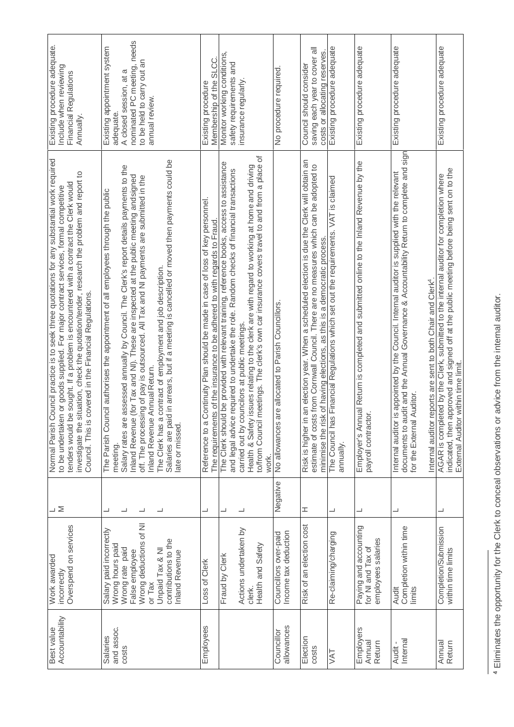|                                                                                                                                                               | Overspend on services<br>Salary paid incorrectly<br>Work awarded<br>incorrectly | $\geq$                             | Council practice is to seek three quotations for any substantial work required<br>investigate the situation, check the quotation/tender, research the problem and report to<br>be sought. If a problem is encountered with a contract the Clerk would<br>to be undertaken or goods supplied. For major contract services, formal competitive<br>covered in the Financial Regulations.<br>Council. This is<br>Normal Parish<br>tenders would                                                                                                                                                    | Existing procedure adequate.<br>Include when reviewing<br>Financial Regulations<br>Annually                                                          |
|---------------------------------------------------------------------------------------------------------------------------------------------------------------|---------------------------------------------------------------------------------|------------------------------------|------------------------------------------------------------------------------------------------------------------------------------------------------------------------------------------------------------------------------------------------------------------------------------------------------------------------------------------------------------------------------------------------------------------------------------------------------------------------------------------------------------------------------------------------------------------------------------------------|------------------------------------------------------------------------------------------------------------------------------------------------------|
| Wrong deductions of NI<br>contributions to the<br>Wrong hours paid<br>Wrong rate paid<br>Unpaid Tax & NI<br>False employee<br><b>Inland Revenue</b><br>or Tax |                                                                                 | ┙<br>$\overline{\phantom{0}}$<br>┙ | Salaries are paid in arrears, but if a meeting is cancelled or moved then payments could be<br>Salary rates are assessed annually by Council. The Clerk's report details payments to the<br>Inland Revenue (for Tax and NI). These are inspected at the public meeting andsigned<br>off. The processing of pay is outsourced. All Tax and NI payments are submitted in the<br>The Parish Council authorises the appointment of all employees through the public<br>The Clerk has a contract of employment and job description.<br>Inland Revenue Annual Return.<br>late or missed.<br>meeting. | nominated PC meeting, needs<br>Existing appointment system<br>to be held to carry out an<br>σ<br>A closed session, at<br>annual review.<br>adequate. |
| Loss of Clerk                                                                                                                                                 |                                                                                 | ┙                                  | Continuity Plan should be made in case of loss of key personnel<br>The requirements of the insurance to be adhered to with regards to Fraud<br>Reference to a                                                                                                                                                                                                                                                                                                                                                                                                                                  | SL <sub>CC</sub><br>Membership of the<br>Existing procedure                                                                                          |
| Actions undertaken by<br>Health and Safety<br>Fraud by Clerk<br>clerk.                                                                                        |                                                                                 | ┙<br>┙                             | meetings. The clerk's own car insurance covers travel to and from a place of<br>The Clerk should be provided with relevant training, reference books, access to assistance<br>Health & Safety issues relating to the olerk are with regard to working at home and driving<br>and legal advice required to undertake the role. Random checks of financial transactions<br>carried out by councilors at public meetings.<br>to/from Council<br>work.                                                                                                                                             | Monitor working conditions,<br>safety requirements and<br>insurance regularly                                                                        |
| Income tax deduction<br>Councillors over-paid                                                                                                                 |                                                                                 | Negative                           | are allocated to Parish Councillors.<br>No allowances                                                                                                                                                                                                                                                                                                                                                                                                                                                                                                                                          | No procedure required.                                                                                                                               |
| Risk of an election cost                                                                                                                                      |                                                                                 | I                                  | Risk is higher in an election year. When a scheduled election is due the Clerk will obtain an<br>estimate of costs from Comwall Council. There are no measures which can be adopted to<br>minimise the risk of having elections, as this is a democratic process.                                                                                                                                                                                                                                                                                                                              | saving each year to cover all<br>costs or allocating reserves.<br>Council should consider                                                            |
| Re-claiming/charging                                                                                                                                          |                                                                                 | ┙                                  | s Financial Regulations which set out the requirements. VAT is claimed<br>The Council ha<br>annually.                                                                                                                                                                                                                                                                                                                                                                                                                                                                                          | Existing procedure adequate                                                                                                                          |
| Paying and accounting<br>employees salaries<br>for NI and Tax of                                                                                              |                                                                                 | ┙                                  | Employer's Annual Return is completed and submitted online to the Inland Revenue by the<br>payroll contractor.                                                                                                                                                                                                                                                                                                                                                                                                                                                                                 | Existing procedure adequate                                                                                                                          |
| Audit<br>Completion within time<br>limits                                                                                                                     |                                                                                 | ┙                                  | documents to audit and the Annual Governance & Accountability Return to complete and sign<br>is appointed by the Council. Internal auditor is supplied with the relevant<br>reports are sent to both Chair and Clerk <sup>4</sup> .<br>Auditor<br>Internal auditor<br>for the External<br>Internal auditor                                                                                                                                                                                                                                                                                     | Existing procedure adequate                                                                                                                          |
| Completion/Submission<br>within time limits                                                                                                                   |                                                                                 | ┙                                  | approved and signed off at the public meeting before being sent on to the<br>eted by the Clerk, submitted to the internal auditor for completion where<br>indicated, then approved and sig<br>External Auditor within time limit.<br>AGAR is compl                                                                                                                                                                                                                                                                                                                                             | Existing procedure adequate                                                                                                                          |